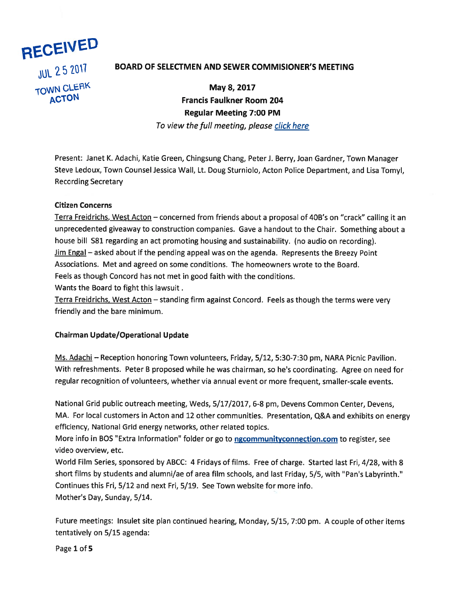

# JUL 2 5 2017 BOARD OF SELECTMEN AND SEWER COMMISIONER'S MEETING

TOWN CLERK May 8, 2017 ACTON Francis Faulkner Room 204 Regular Meeting 7:00 PM To view the full meeting, please click here

Present: Janet K. Adachi, Katie Green, Chingsung Chang, Peter J. Berry, Joan Gardner, Town Manager Steve Ledoux, Town Counsel Jessica Wall, Lt. Doug Sturniolo, Acton Police Department, and Lisa Tomyl, Recording Secretary

#### Citizen Concerns

Terra Freidrichs, West Acton — concerned from friends about <sup>a</sup> proposal of 40B's on "crack" calling it an unprecedented <sup>g</sup>iveaway to construction companies. Gave <sup>a</sup> handout to the Chair. Something about <sup>a</sup> house bill S81 regarding an act promoting housing and sustainability. (no audio on recording). Jim Engal – asked about if the pending appeal was on the agenda. Represents the Breezy Point Associations. Met and agreed on some conditions. The homeowners wrote to the Board. Feels as though Concord has not met in good faith with the conditions. Wants the Board to fight this lawsuit.

Terra Freidrichs, West Acton — standing firm against Concord. Feels as though the terms were very friendly and the bare minimum.

#### Chairman Update/Operational Update

Ms. Adachi — Reception honoring Town volunteers, Friday, 5/12, 5:30-7:30 pm, NARA Picnic Pavilion. With refreshments. Peter <sup>B</sup> proposed while he was chairman, so he's coordinating. Agree on need for regular recognition of volunteers, whether via annual event or more frequent, smaller-scale events.

National Grid public outreach meeting, Weds, 5/17/2017, 6-8 pm, Devens Common Center, Devens, MA. For local customers in Acton and <sup>12</sup> other communities. Presentation, Q&A and exhibits on energy efficiency, National Grid energy networks, other related topics.

More info in BOS "Extra Information" folder or go to **ngcommunityconnection.com** to register, see video overview, etc.

World Film Series, sponsored by ABCC: <sup>4</sup> Fridays of films. Free of charge. Started last Fri, 4/28, with 8 short films by students and alumni/ae of area film schools, and last Friday, 5/5, with "Pan's Labyrinth." Continues this Fri, 5/12 and next Fri, 5/19. See Town website for more info. Mother's Day, Sunday, 5/14.

Future meetings: Insulet site <sup>p</sup>lan continued hearing, Monday, 5/15, 7:00 pm. <sup>A</sup> couple of other items tentatively on 5/15 agenda:

Page 1 of 5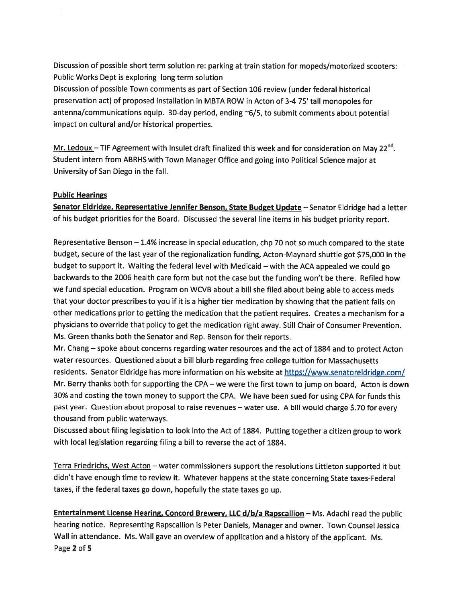Discussion of possible short term solution re: parking at train station for mopeds/motorized scooters: Public Works Dept is exploring long term solution

Discussion of possible Town comments as par<sup>t</sup> of Section 106 review (under federal historical preservation act) of propose<sup>d</sup> installation in MBTA ROW in Acton of 3-4 75' tall monopoles for antenna/communications equip. 30-day period, ending ~6/5, to submit comments about potential impact on cultural and/or historical properties.

Mr. Ledoux – TIF Agreement with Insulet draft finalized this week and for consideration on May 22<sup>nd</sup>. Student intern from ABRHS with Town Manager Office and going into Political Science major at University of San Diego in the fall.

## Public Hearings

Senator Eldridge, Representative Jennifer Benson, State Budget Update - Senator Eldridge had a letter of his budget priorities for the Board. Discussed the several line items in his budget priority report.

Representative Benson — 1.4% increase in special education, chp <sup>70</sup> not so much compared to the state budget, secure of the last year of the regionalization funding, Acton-Maynard shuttle go<sup>t</sup> \$75,000 in the budget to suppor<sup>t</sup> it. Waiting the federal level with Medicaid — with the ACA appealed we could go backwards to the 2006 health care form but not the case but the funding won't be there. Refiled how we fund special education. Program on WCVB about <sup>a</sup> bill she filed about being able to access meds that your doctor prescribes to you if it is <sup>a</sup> higher tier medication by showing that the patient fails on other medications prior to getting the medication that the patient requires. Creates <sup>a</sup> mechanism for <sup>a</sup> <sup>p</sup>hysicians to override that policy to ge<sup>t</sup> the medication right away. Still Chair of Consumer Prevention. Ms. Green thanks both the Senator and Rep. Benson for their reports.

Mr. Chang — spoke about concerns regarding water resources and the act of <sup>1884</sup> and to protect Acton water resources. Questioned about <sup>a</sup> bill blurb regarding free college tuition for Massachusetts residents. Senator Eldridge has more information on his website at https://www.senatoreldridge.com/ Mr. Berry thanks both for supporting the CPA — we were the first town to jump on board, Acton is down 30% and costing the town money to suppor<sup>t</sup> the CPA. We have been sued for using CPA for funds this pas<sup>t</sup> year. Question about proposa<sup>l</sup> to raise revenues — water use. <sup>A</sup> bill would charge \$.70 for every thousand from public waterways.

Discussed about filing legislation to look into the Act of 1884. Putting together <sup>a</sup> citizen group to work with local legislation regarding filing <sup>a</sup> bill to reverse the act of 1884.

Terra Friedrichs, West Acton — water commissioners suppor<sup>t</sup> the resolutions Littleton supported it but didn't have enoug<sup>h</sup> time to review it. Whatever happens at the state concerning State taxes-Federal taxes, if the federal taxes go down, hopefully the state taxes go up.

Entertainment License Hearing, Concord Brewery, LLC d/b/a Rapscallion - Ms. Adachi read the public hearing notice. Representing Rapscallion is Peter Daniels, Manager and owner. Town Counsel Jessica Wall in attendance. Ms. Wall gave an overview of application and <sup>a</sup> history of the applicant. Ms. Page 2 of 5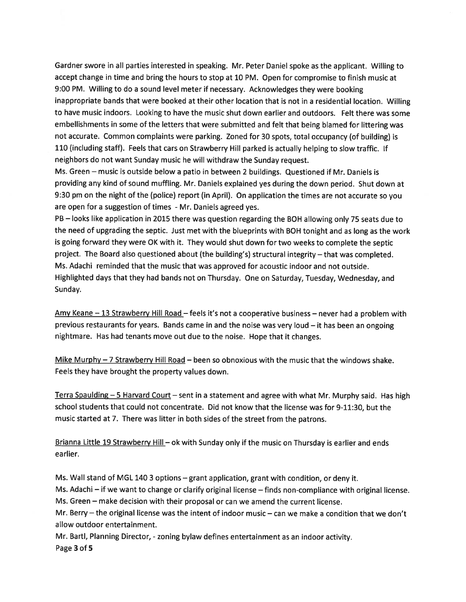Gardner swore in all parties interested in speaking. Mr. Peter Daniel spoke as the applicant. Willing to accep<sup>t</sup> change in time and bring the hours to stop at 10 PM. Open for compromise to finish music at 9:00 PM. Willing to do <sup>a</sup> sound level meter if necessary. Acknowledges they were booking inappropriate bands that were booked at their other location that is not in <sup>a</sup> residential location. Willing to have music indoors. Looking to have the music shut down earlier and outdoors. Felt there was some embellishments in some of the letters that were submitted and felt that being blamed for littering was not accurate. Common complaints were parking. Zoned for 30 spots, total occupancy (of building) is <sup>110</sup> (including staff). Feels that cars on Strawberry Hill parked is actually helping to slow traffic. If neighbors do not want Sunday music he will withdraw the Sunday request.

Ms. Green — music is outside below <sup>a</sup> patio in between <sup>2</sup> buildings. Questioned if Mr. Daniels is providing any kind of sound muffling. Mr. Daniels explained yes during the down period. Shut down at 9:30 pm on the night of the (police) repor<sup>t</sup> (in April). On application the times are not accurate so you are open for <sup>a</sup> suggestion of times - Mr. Daniels agreed yes.

PB — looks like application in <sup>2015</sup> there was question regarding the BOH allowing only <sup>75</sup> seats due to the need of upgrading the septic. Just met with the blueprints with BOH tonight and as long as the work is going forward they were OK with it. They would shut down for two weeks to complete the septic project. The Board also questioned about (the building's) structural integrity — that was completed. Ms. Adachi reminded that the music that was approved for acoustic indoor and not outside. Highlighted days that they had bands not on Thursday. One on Saturday, Tuesday, Wednesday, and Sunday.

Amy Keane – 13 Strawberry Hill Road – feels it's not a cooperative business – never had a problem with previous restaurants for years. Bands came in and the noise was very loud — it has been an ongoing nightmare. Has had tenants move out due to the noise. Hope that it changes.

Mike Murphy  $-7$  Strawberry Hill Road – been so obnoxious with the music that the windows shake. Feels they have brought the property values down.

Terra Spaulding - 5 Harvard Court - sent in a statement and agree with what Mr. Murphy said. Has high school students that could not concentrate. Did not know that the license was for 9-11:30, but the music started at 7. There was litter in both sides of the street from the patrons.

Brianna Little 19 Strawberry Hill - ok with Sunday only if the music on Thursday is earlier and ends earlier.

Ms. Wall stand of MGL <sup>140</sup> <sup>3</sup> options — gran<sup>t</sup> application, gran<sup>t</sup> with condition, or deny it.

Ms. Adachi — if we want to change or clarify original license — finds non-compliance with original license. Ms. Green — make decision with their proposal or can we amend the current license.

Mr. Berry — the original license was the intent of indoor music — can we make <sup>a</sup> condition that we don't allow outdoor entertainment.

Mr. Bartl, Planning Director, - zoning bylaw defines entertainment as an indoor activity. Page 3 of 5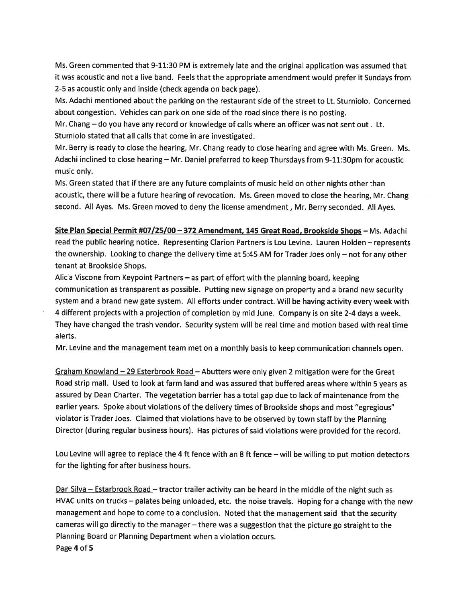Ms. Green commented that 9-11:30 PM is extremely late and the original application was assumed that it was acoustic and not <sup>a</sup> live band. Feels that the appropriate amendment would prefer it Sundays from 2-5 as acoustic only and inside (check agenda on back page).

Ms. Adachi mentioned about the parking on the restaurant side of the street to Lt. Sturniolo. Concerned about congestion. Vehicles can park on one side of the road since there is no posting.

Mr. Chang — do you have any record or knowledge of calls where an officer was not sent out. Lt. Sturniolo stated that all calls that come in are investigated.

Mr. Berry is ready to close the hearing, Mr. Chang ready to close hearing and agree with Ms. Green. Ms. Adachi inclined to close hearing — Mr. Daniel preferred to keep Thursdays from 9-11:3Opm for acoustic music only.

Ms. Green stated that if there are any future complaints of music held on other nights other than acoustic, there will be <sup>a</sup> future hearing of revocation. Ms. Green moved to close the hearing, Mr. Chang second. All Ayes. Ms. Green moved to deny the license amendment, Mr. Berry seconded. All Ayes.

Site Plan Special Permit #07/25/00 - 372 Amendment, 145 Great Road, Brookside Shops - Ms. Adachi read the public hearing notice. Representing Clarion Partners is Lou Levine. Lauren Holden — represents the ownership. Looking to change the delivery time at 5:45 AM for Trader Joes only — not for any other tenant at Brookside Shops.

Alicia Viscone from Keypoint Partners — as par<sup>t</sup> of effort with the <sup>p</sup>lanning board, keeping communication as transparent as possible. Putting new signage on property and <sup>a</sup> brand new security system and <sup>a</sup> brand new gate system. All efforts under contract. Will be having activity every week with <sup>4</sup> different projects with <sup>a</sup> projection of completion by mid June. Company is on site 2-4 days <sup>a</sup> week. They have changed the trash vendor. Security system will be real time and motion based with real time alerts.

Mr. Levine and the managemen<sup>t</sup> team met on <sup>a</sup> monthly basis to keep communication channels open.

Graham Knowland - 29 Esterbrook Road - Abutters were only given 2 mitigation were for the Great Road strip mall. Used to look at farm land and was assured that buffered areas where within <sup>5</sup> years as assured by Dean Charter. The vegetation barrier has <sup>a</sup> total gap due to lack of maintenance from the earlier years. Spoke about violations of the delivery times of Brookside shops and most "egregious" violator is Trader Joes. Claimed that violations have to be observed by town staff by the Planning Director (during regular business hours). Has <sup>p</sup>ictures of said violations were provided for the record.

Lou Levine will agree to replace the <sup>4</sup> ft fence with an <sup>8</sup> ft fence — will be willing to pu<sup>t</sup> motion detectors for the lighting for after business hours.

Dan Silva — Estarbrook Road — tractor trailer activity can be heard in the middle of the night such as HVAC units on trucks - palates being unloaded, etc. the noise travels. Hoping for a change with the new managemen<sup>t</sup> and hope to come to <sup>a</sup> conclusion. Noted that the managemen<sup>t</sup> said that the security cameras will go directly to the manager — there was <sup>a</sup> suggestion that the <sup>p</sup>icture go straight to the Planning Board or Planning Department when <sup>a</sup> violation occurs. Page 4 of 5